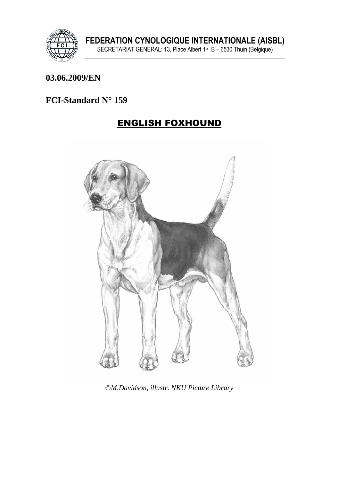

#### 03.06.2009/EN

### FCI-Standard N° 159

## **ENGLISH FOXHOUND**



©M.Davidson, illustr. NKU Picture Library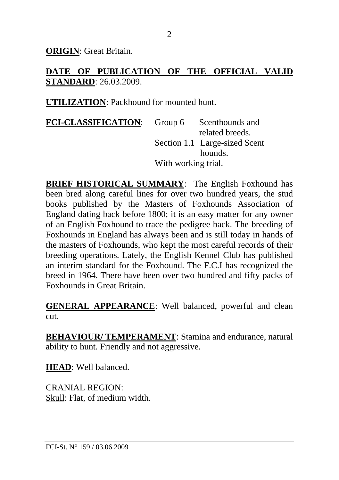**ORIGIN**: Great Britain.

#### **DATE OF PUBLICATION OF THE OFFICIAL VALID STANDARD**: 26.03.2009.

**UTILIZATION**: Packhound for mounted hunt.

| <b>FCI-CLASSIFICATION:</b> |                     | Group 6 Scenthounds and       |
|----------------------------|---------------------|-------------------------------|
|                            |                     | related breeds.               |
|                            |                     | Section 1.1 Large-sized Scent |
|                            |                     | hounds.                       |
|                            | With working trial. |                               |

**BRIEF HISTORICAL SUMMARY**: The English Foxhound has been bred along careful lines for over two hundred years, the stud books published by the Masters of Foxhounds Association of England dating back before 1800; it is an easy matter for any owner of an English Foxhound to trace the pedigree back. The breeding of Foxhounds in England has always been and is still today in hands of the masters of Foxhounds, who kept the most careful records of their breeding operations. Lately, the English Kennel Club has published an interim standard for the Foxhound. The F.C.I has recognized the breed in 1964. There have been over two hundred and fifty packs of Foxhounds in Great Britain.

**GENERAL APPEARANCE**: Well balanced, powerful and clean cut.

**BEHAVIOUR/ TEMPERAMENT**: Stamina and endurance, natural ability to hunt. Friendly and not aggressive.

**HEAD**: Well balanced.

CRANIAL REGION: Skull: Flat, of medium width.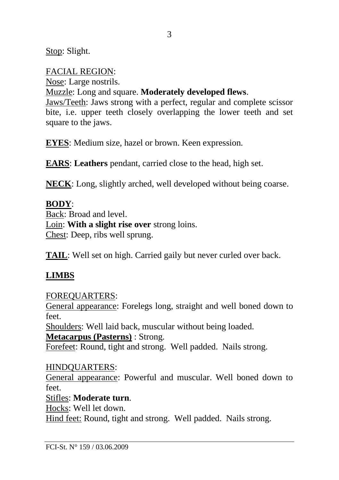Stop: Slight.

FACIAL REGION:

Nose: Large nostrils.

Muzzle: Long and square. **Moderately developed flews**.

Jaws/Teeth: Jaws strong with a perfect, regular and complete scissor bite, i.e. upper teeth closely overlapping the lower teeth and set square to the jaws.

**EYES**: Medium size, hazel or brown. Keen expression.

**EARS**: **Leathers** pendant, carried close to the head, high set.

**NECK**: Long, slightly arched, well developed without being coarse.

### **BODY**:

Back: Broad and level. Loin: **With a slight rise over** strong loins. Chest: Deep, ribs well sprung.

**TAIL**: Well set on high. Carried gaily but never curled over back.

# **LIMBS**

FOREQUARTERS:

General appearance: Forelegs long, straight and well boned down to feet.

Shoulders: Well laid back, muscular without being loaded.

**Metacarpus (Pasterns)** : Strong.

Forefeet: Round, tight and strong. Well padded. Nails strong.

HINDQUARTERS:

General appearance: Powerful and muscular. Well boned down to feet.

Stifles: **Moderate turn**.

Hocks: Well let down.

Hind feet: Round, tight and strong. Well padded. Nails strong.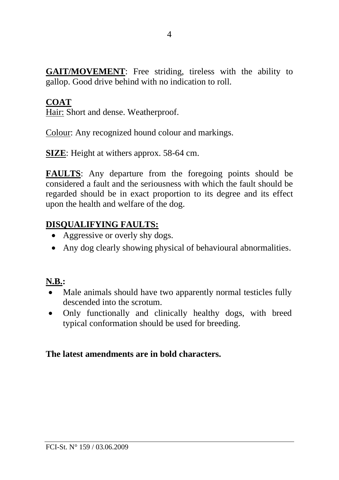**GAIT/MOVEMENT**: Free striding, tireless with the ability to gallop. Good drive behind with no indication to roll.

#### **COAT**

Hair: Short and dense. Weatherproof.

Colour: Any recognized hound colour and markings.

**SIZE**: Height at withers approx. 58-64 cm.

**FAULTS**: Any departure from the foregoing points should be considered a fault and the seriousness with which the fault should be regarded should be in exact proportion to its degree and its effect upon the health and welfare of the dog.

### **DISQUALIFYING FAULTS:**

- Aggressive or overly shy dogs.
- Any dog clearly showing physical of behavioural abnormalities.

# **N.B.:**

- Male animals should have two apparently normal testicles fully descended into the scrotum.
- Only functionally and clinically healthy dogs, with breed typical conformation should be used for breeding.

### **The latest amendments are in bold characters.**